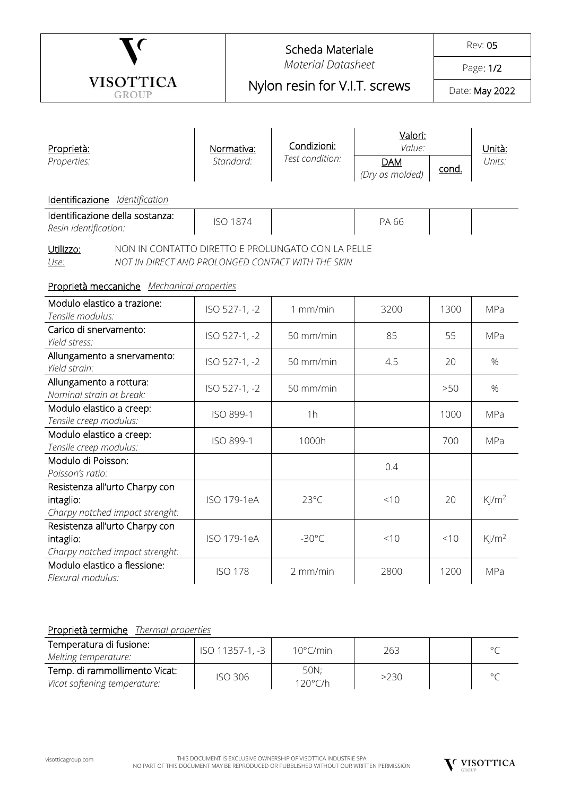|                                                                                                                             |                               | Scheda Materiale          |                                |                               | Rev: 05      |                     |  |  |  |
|-----------------------------------------------------------------------------------------------------------------------------|-------------------------------|---------------------------|--------------------------------|-------------------------------|--------------|---------------------|--|--|--|
|                                                                                                                             |                               | <b>Material Datasheet</b> |                                |                               |              | Page: 1/2           |  |  |  |
| <b>VISOTTICA</b><br><b>GROUP</b>                                                                                            | Nylon resin for V.I.T. screws |                           |                                | Date: May 2022                |              |                     |  |  |  |
|                                                                                                                             |                               |                           |                                |                               |              |                     |  |  |  |
| Proprietà:                                                                                                                  |                               | Normativa:                | Condizioni:<br>Test condition: | Valori:<br>Value:             |              | Unità:<br>Units:    |  |  |  |
| Properties:                                                                                                                 |                               | Standard:                 |                                | <b>DAM</b><br>(Dry as molded) | <u>cond.</u> |                     |  |  |  |
| Identificazione Identification                                                                                              |                               |                           |                                |                               |              |                     |  |  |  |
| Identificazione della sostanza:<br>Resin identification:                                                                    | <b>ISO 1874</b>               |                           |                                | PA 66                         |              |                     |  |  |  |
| NON IN CONTATTO DIRETTO E PROLUNGATO CON LA PELLE<br>Utilizzo:<br>NOT IN DIRECT AND PROLONGED CONTACT WITH THE SKIN<br>Use: |                               |                           |                                |                               |              |                     |  |  |  |
| Proprietà meccaniche Mechanical properties                                                                                  |                               |                           |                                |                               |              |                     |  |  |  |
| Modulo elastico a trazione:<br>Tensile modulus:                                                                             |                               | ISO 527-1, -2             | $1$ mm/min                     | 3200                          | 1300         | MPa                 |  |  |  |
| Carico di snervamento:<br>Yield stress:                                                                                     |                               | ISO 527-1, -2             | 50 mm/min                      | 85                            | 55           | MPa                 |  |  |  |
| Allungamento a snervamento:<br>Yield strain:                                                                                |                               | ISO 527-1, -2             | 50 mm/min                      | 4.5                           | 20           | %                   |  |  |  |
| Allungamento a rottura:<br>Nominal strain at break:                                                                         |                               | ISO 527-1, -2             | 50 mm/min                      |                               | >50          | $\%$                |  |  |  |
| Modulo elastico a creep:<br>Tensile creep modulus:                                                                          |                               | ISO 899-1                 | 1h                             |                               | 1000         | MPa                 |  |  |  |
| Modulo elastico a creep:<br>Tensile creep modulus:                                                                          |                               | ISO 899-1                 | 1000h                          |                               | 700          | MPa                 |  |  |  |
| Modulo di Poisson:<br>Poisson's ratio:                                                                                      |                               |                           |                                | 0.4                           |              |                     |  |  |  |
| Resistenza all'urto Charpy con<br>intaglio:<br>Charpy notched impact strenght:                                              |                               | ISO 179-1eA               | $23^{\circ}$ C                 | < 10                          | 20           | $K$ /m <sup>2</sup> |  |  |  |
| Resistenza all'urto Charpy con<br>intaglio:<br>Charpy notched impact strenght:                                              |                               | ISO 179-1eA               | $-30^{\circ}$ C                | < 10                          | < 10         | $K$ /m <sup>2</sup> |  |  |  |
| Modulo elastico a flessione:<br>Flexural modulus:                                                                           |                               | <b>ISO 178</b>            | 2 mm/min                       | 2800                          | 1200         | MPa                 |  |  |  |

## Proprietà termiche *Thermal properties*

| <u><b>THOUGH CONTINGING</b></u> Thromhom Divolution |                 |                    |      |  |  |  |  |
|-----------------------------------------------------|-----------------|--------------------|------|--|--|--|--|
| Temperatura di fusione:                             | ISO 11357-1, -3 | $10^{\circ}$ C/min | 263  |  |  |  |  |
| Melting temperature:                                |                 |                    |      |  |  |  |  |
| Temp. di rammollimento Vicat:                       |                 | 50N:               | >230 |  |  |  |  |
| Vicat softening temperature:                        | <b>ISO 306</b>  | $120^{\circ}$ C/h  |      |  |  |  |  |